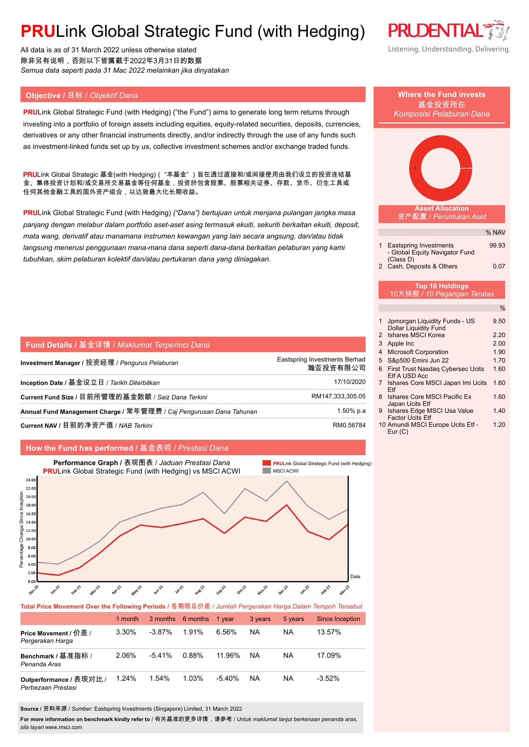All data is as of 31 March 2022 unless otherwise stated 除非另有说明,否则以下皆属截于2022年3月31日的数据 *Semua data seperti pada 31 Mac 2022 melainkan jika dinyatakan*

### **Objective /** 目标 / *Objektif Dana* **Where the Fund invests**

**PRULink Global Strategic Fund (with Hedging) ("the Fund") aims to generate long term returns through** investing into a portfolio of foreign assets including equities, equity-related securities, deposits, currencies, derivatives or any other financial instruments directly, and/or indirectly through the use of any funds such as investment-linked funds set up by us, collective investment schemes and/or exchange traded funds.

PRULink Global Strategic 基金(with Hedging) ( "本基金" )旨在透过直接和/或间接使用由我们设立的投资连结基 金、集体投资计划和/或交易所交易基金等任何基金,投资於包含股票、股票相关证券、存款、货币、衍生工具或 任何其他金融工具的国外资产组合,以达致最大化长期收益。

**PRU**Link Global Strategic Fund (with Hedging) *("Dana") bertujuan untuk menjana pulangan jangka masa panjang dengan melabur dalam portfolio aset-aset asing termasuk ekuiti, sekuriti berkaitan ekuiti, deposit, mata wang, derivatif atau manamana instrumen kewangan yang lain secara angsung, dan/atau tidak langsung menerusi penggunaan mana-mana dana seperti dana-dana berkaitan pelaburan yang kami tubuhkan, skim pelaburan kolektif dan/atau pertukaran dana yang diniagakan.*

| Fund Details / 基金详情 / Maklumat Terperinci Dana                      |                                           |
|---------------------------------------------------------------------|-------------------------------------------|
| Investment Manager / 投资经理 / <i>Penqurus Pelaburan</i>               | Eastspring Investments Berhad<br>瀚亚投资有限公司 |
| Inception Date / 基金设立日 / Tarikh Diterbitkan                         | 17/10/2020                                |
| Current Fund Size / 目前所管理的基金数额 / Saiz Dana Terkini                  | RM147,333,305.05                          |
| Annual Fund Management Charge / 常年管理费 / Cai Pengurusan Dana Tahunan | $1.50\%$ p.a                              |
| Current NAV / 目前的净资产值 / NAB Terkini                                 | RM0.56784                                 |

### **How the Fund has performed /** 基金表现 / *Prestasi Dana*



**Source /** 资料来源 / *Sumber*: Eastspring Investments (Singapore) Limited, 31 March 2022

**For more information on benchmark kindly refer to** / 有关基准的更多详情,请参考 / *Untuk maklumat lanjut berkenaan penanda aras, sila layari* www.msci.com





| 1              | Jpmorgan Liquidity Funds - US<br><b>Dollar Liquidity Fund</b> | 9.50 |
|----------------|---------------------------------------------------------------|------|
| $\mathcal{P}$  | Ishares MSCI Korea                                            | 2.20 |
| 3              | Apple Inc                                                     | 2.00 |
| 4              | <b>Microsoft Corporation</b>                                  | 1.90 |
| 5              | S&p500 Emini Jun 22                                           | 1.70 |
| 6              | First Trust Nasdaq Cybersec Ucits<br>Ftf A USD Acc            | 1.60 |
| $\overline{7}$ | Ishares Core MSCI Japan Imi Ucits<br>Fff                      | 1.60 |
| 8              | Ishares Core MSCI Pacific Ex<br>Japan Ucits Etf               | 1.60 |
| 9              | Ishares Edge MSCI Usa Value<br><b>Factor Ucits Etf</b>        | 1.40 |
|                | 10 Amundi MSCI Europe Ucits Etf -<br>Eur(C)                   | 1.20 |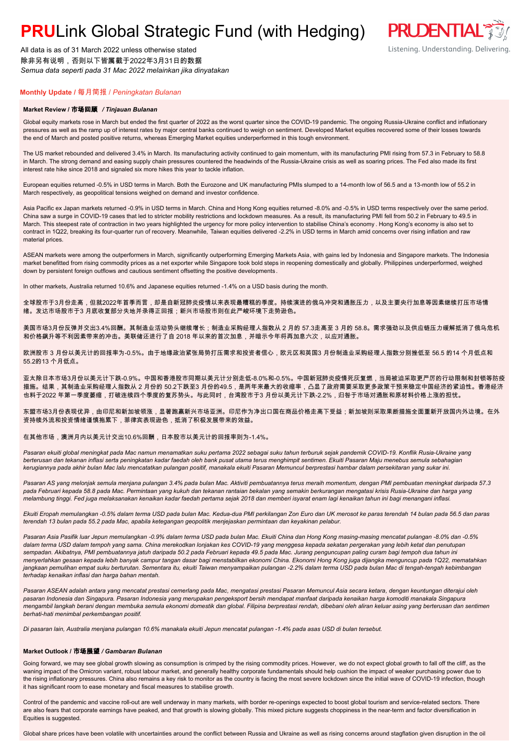All data is as of 31 March 2022 unless otherwise stated 除非另有说明,否则以下皆属截于2022年3月31日的数据 *Semua data seperti pada 31 Mac 2022 melainkan jika dinyatakan*

#### **Monthly Update /** 每月简报 / *Peningkatan Bulanan*

#### **Market Review /** 市场回顾 */ Tinjauan Bulanan*

Global equity markets rose in March but ended the first quarter of 2022 as the worst quarter since the COVID-19 pandemic. The ongoing Russia-Ukraine conflict and inflationary pressures as well as the ramp up of interest rates by major central banks continued to weigh on sentiment. Developed Market equities recovered some of their losses towards the end of March and posted positive returns, whereas Emerging Market equities underperformed in this tough environment.

**PRUDENTIAL** 

Listening. Understanding. Delivering.

The US market rebounded and delivered 3.4% in March. Its manufacturing activity continued to gain momentum, with its manufacturing PMI rising from 57.3 in February to 58.8 in March. The strong demand and easing supply chain pressures countered the headwinds of the Russia-Ukraine crisis as well as soaring prices. The Fed also made its first interest rate hike since 2018 and signaled six more hikes this year to tackle inflation.

European equities returned -0.5% in USD terms in March. Both the Eurozone and UK manufacturing PMIs slumped to a 14-month low of 56.5 and a 13-month low of 55.2 in March respectively, as geopolitical tensions weighed on demand and investor confidence.

Asia Pacific ex Japan markets returned -0.9% in USD terms in March. China and Hong Kong equities returned -8.0% and -0.5% in USD terms respectively over the same period. China saw a surge in COVID-19 cases that led to stricter mobility restrictions and lockdown measures. As a result, its manufacturing PMI fell from 50.2 in February to 49.5 in March. This steepest rate of contraction in two years highlighted the urgency for more policy intervention to stabilise China's economy . Hong Kong's economy is also set to contract in 1Q22, breaking its four-quarter run of recovery. Meanwhile, Taiwan equities delivered -2.2% in USD terms in March amid concerns over rising inflation and raw material prices.

ASEAN markets were among the outperformers in March, significantly outperforming Emerging Markets Asia, with gains led by Indonesia and Singapore markets. The Indonesia market benefitted from rising commodity prices as a net exporter while Singapore took bold steps in reopening domestically and globally. Philippines underperformed, weighed down by persistent foreign outflows and cautious sentiment offsetting the positive developments .

In other markets, Australia returned 10.6% and Japanese equities returned -1.4% on a USD basis during the month.

全球股市于3月份走高,但就2022年首季而言,却是自新冠肺炎疫情以来表现最糟糕的季度。持续演进的俄乌冲突和通胀压力,以及主要央行加息等因素继续打压市场情 绪。发达市场股市于3 月底收复部分失地并录得正回报;新兴市场股市则在此严峻环境下走势逊色。

美国市场3月份反弹并交出3.4%回酬。其制造业活动势头继续增长;制造业采购经理人指数从 2 月的 57.3走高至 3 月的 58.8。需求强劲以及供应链压力缓解抵消了俄乌危机 和价格飙升等不利因素带来的冲击。美联储还进行了自 2018 年以来的首次加息,并暗示今年将再加息六次,以应对通胀。

欧洲股市 3 月份以美元计的回报率为-0.5%。由于地缘政治紧张局势打压需求和投资者信心,欧元区和英国3 月份制造业采购经理人指数分别挫低至 56.5 的14 个月低点和 55.2的13 个月低点。

亚太除日本市场3月份以美元计下跌-0.9%。中国和香港股市同期以美元计分别走低-8.0%和-0.5%。中国新冠肺炎疫情死灰复燃,当局被迫采取更严厉的行动限制和封锁等防疫 措施。结果,其制造业采购经理人指数从 2 月份的 50.2下跌至3 月份的49.5,是两年来最大的收缩率,凸显了政府需要采取更多政策干预来稳定中国经济的紧迫性。香港经济 也料于2022 年第一季度萎缩,打破连续四个季度的复苏势头。与此同时,台湾股市于3 月份以美元计下跌-2.2%,归咎于市场对通胀和原材料价格上涨的担忧。

东盟市场3月份表现优异,由印尼和新加坡领涨,显著跑赢新兴市场亚洲。印尼作为净出口国在商品价格走高下受益;新加坡则采取果断措施全面重新开放国内外边境。在外 资持续外流和投资情绪谨慎拖累下,菲律宾表现逊色,抵消了积极发展带来的效益。

#### 在其他市场,澳洲月内以美元计交出10.6%回酬,日本股市以美元计的回报率则为-1.4%。

*Pasaran ekuiti global meningkat pada Mac namun menamatkan suku pertama 2022 sebagai suku tahun terburuk sejak pandemik COVID-19. Konflik Rusia-Ukraine yang berterusan dan tekanan inflasi serta peningkatan kadar faedah oleh bank pusat utama terus menghimpit sentimen. Ekuiti Pasaran Maju menebus semula sebahagian kerugiannya pada akhir bulan Mac lalu mencatatkan pulangan positif, manakala ekuiti Pasaran Memuncul berprestasi hambar dalam persekitaran yang sukar ini.*

*Pasaran AS yang melonjak semula menjana pulangan 3.4% pada bulan Mac. Aktiviti pembuatannya terus meraih momentum, dengan PMI pembuatan meningkat daripada 57.3 pada Februari kepada 58.8 pada Mac. Permintaan yang kukuh dan tekanan rantaian bekalan yang semakin berkurangan mengatasi krisis Rusia-Ukraine dan harga yang melambung tinggi. Fed juga melaksanakan kenaikan kadar faedah pertama sejak 2018 dan memberi isyarat enam lagi kenaikan tahun ini bagi menangani inflasi.*

*Ekuiti Eropah memulangkan -0.5% dalam terma USD pada bulan Mac. Kedua-dua PMI perkilangan Zon Euro dan UK merosot ke paras terendah 14 bulan pada 56.5 dan paras terendah 13 bulan pada 55.2 pada Mac, apabila ketegangan geopolitik menjejaskan permintaan dan keyakinan pelabur.*

*Pasaran Asia Pasifik luar Jepun memulangkan -0.9% dalam terma USD pada bulan Mac. Ekuiti China dan Hong Kong masing-masing mencatat pulangan -8.0% dan -0.5% dalam terma USD dalam tempoh yang sama. China merekodkan lonjakan kes COVID-19 yang menggesa kepada sekatan pergerakan yang lebih ketat dan penutupan sempadan. Akibatnya, PMI pembuatannya jatuh daripada 50.2 pada Februari kepada 49.5 pada Mac. Jurang penguncupan paling curam bagi tempoh dua tahun ini menyerlahkan gesaan kepada lebih banyak campur tangan dasar bagi menstabilkan ekonomi China. Ekonomi Hong Kong juga dijangka menguncup pada 1Q22, mematahkan jangkaan pemulihan empat suku berturutan. Sementara itu, ekuiti Taiwan menyampaikan pulangan -2.2% dalam terma USD pada bulan Mac di tengah-tengah kebimbangan terhadap kenaikan inflasi dan harga bahan mentah.*

*Pasaran ASEAN adalah antara yang mencatat prestasi cemerlang pada Mac, mengatasi prestasi Pasaran Memuncul Asia secara ketara, dengan keuntungan diterajui oleh pasaran Indonesia dan Singapura. Pasaran Indonesia yang merupakan pengeksport bersih mendapat manfaat daripada kenaikan harga komoditi manakala Singapura mengambil langkah berani dengan membuka semula ekonomi domestik dan global. Filipina berprestasi rendah, dibebani oleh aliran keluar asing yang berterusan dan sentimen berhati-hati menimbal perkembangan positif.*

*Di pasaran lain, Australia menjana pulangan 10.6% manakala ekuiti Jepun mencatat pulangan -1.4% pada asas USD di bulan tersebut.*

#### **Market Outlook /** 市场展望 */ Gambaran Bulanan*

Going forward, we may see global growth slowing as consumption is crimped by the rising commodity prices. However, we do not expect global growth to fall off the cliff, as the waning impact of the Omicron variant, robust labour market, and generally healthy corporate fundamentals should help cushion the impact of weaker purchasing power due to the rising inflationary pressures. China also remains a key risk to monitor as the country is facing the most severe lockdown since the initial wave of COVID-19 infection, though it has significant room to ease monetary and fiscal measures to stabilise growth.

Control of the pandemic and vaccine roll-out are well underway in many markets, with border re-openings expected to boost global tourism and service-related sectors. There are also fears that corporate earnings have peaked, and that growth is slowing globally. This mixed picture suggests choppiness in the near-term and factor diversification in Equities is suggested.

Global share prices have been volatile with uncertainties around the conflict between Russia and Ukraine as well as rising concerns around stagflation given disruption in the oil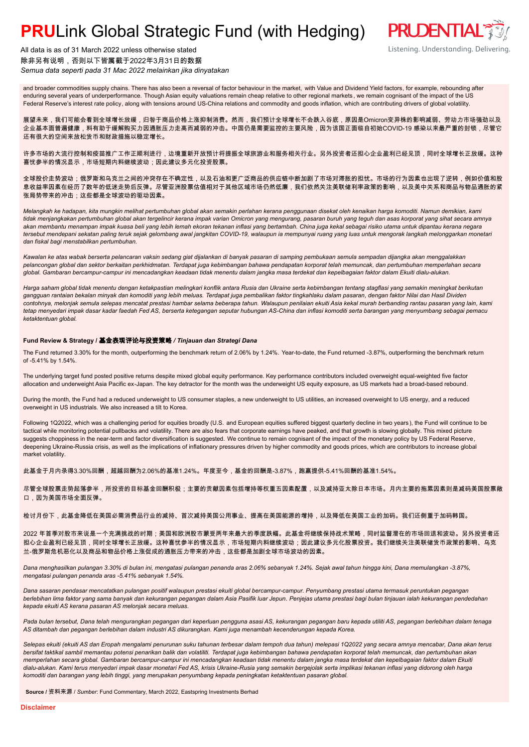

All data is as of 31 March 2022 unless otherwise stated 除非另有说明,否则以下皆属截于2022年3月31日的数据 *Semua data seperti pada 31 Mac 2022 melainkan jika dinyatakan*

and broader commodities supply chains. There has also been a reversal of factor behaviour in the market, with Value and Dividend Yield factors, for example, rebounding after enduring several years of underperformance. Though Asian equity valuations remain cheap relative to other regional markets, we remain cognisant of the impact of the US Federal Reserve's interest rate policy, along with tensions around US-China relations and commodity and goods inflation, which are contributing drivers of global volatility.

展望未来,我们可能会看到全球增长放缓,归咎于商品价格上涨抑制消费。然而,我们预计全球增长不会跌入谷底,原因是Omicron变异株的影响减弱、劳动力市场强劲以及 企业基本面普遍健康,料有助于缓解购买力因通胀压力走高而减弱的冲击。中国仍是需要监控的主要风险,因为该国正面临自初始COVID-19 感染以来最严重的封锁,尽管它 还有很大的空间来放松货币和财政措施以稳定增长。

许多市场的大流行控制和疫苗推广工作正顺利进行,边境重新开放预计将提振全球旅游业和服务相关行业。另外投资者还担心企业盈利已经见顶,同时全球增长正放缓。这种 。<br>喜忧参半的情况显示,市场短期内料继续波动;因此建议多元化投资股票。

全球股价走势波动;俄罗斯和乌克兰之间的冲突存在不确定性,以及石油和更广泛商品的供应链中断加剧了市场对滞胀的担忧。市场的行为因素也出现了逆转,例如价值和股 息收益率因素在经历了数年的低迷走势后反弹。尽管亚洲股票估值相对于其他区域市场仍然低廉,我们依然关注美联储利率政策的影响,以及美中关系和商品与物品通胀的紧 张局势带来的冲击;这些都是全球波动的驱动因素。

*Melangkah ke hadapan, kita mungkin melihat pertumbuhan global akan semakin perlahan kerana penggunaan disekat oleh kenaikan harga komoditi. Namun demikian, kami tidak menjangkakan pertumbuhan global akan tergelincir kerana impak varian Omicron yang mengurang, pasaran buruh yang teguh dan asas korporat yang sihat secara amnya akan membantu menampan impak kuasa beli yang lebih lemah ekoran tekanan inflasi yang bertambah. China juga kekal sebagai risiko utama untuk dipantau kerana negara tersebut mendepani sekatan paling teruk sejak gelombang awal jangkitan COVID-19, walaupun ia mempunyai ruang yang luas untuk mengorak langkah melonggarkan monetari dan fiskal bagi menstabilkan pertumbuhan.*

*Kawalan ke atas wabak berserta pelancaran vaksin sedang giat dijalankan di banyak pasaran di samping pembukaan semula sempadan dijangka akan menggalakkan pelancongan global dan sektor berkaitan perkhidmatan. Terdapat juga kebimbangan bahawa pendapatan korporat telah memuncak, dan pertumbuhan memperlahan secara global. Gambaran bercampur-campur ini mencadangkan keadaan tidak menentu dalam jangka masa terdekat dan kepelbagaian faktor dalam Ekuiti dialu-alukan.*

*Harga saham global tidak menentu dengan ketakpastian melingkari konflik antara Rusia dan Ukraine serta kebimbangan tentang stagflasi yang semakin meningkat berikutan gangguan rantaian bekalan minyak dan komoditi yang lebih meluas. Terdapat juga pembalikan faktor tingkahlaku dalam pasaran, dengan faktor Nilai dan Hasil Dividen contohnya, melonjak semula selepas mencatat prestasi hambar selama beberapa tahun. Walaupun penilaian ekuiti Asia kekal murah berbanding rantau pasaran yang lain, kami tetap menyedari impak dasar kadar faedah Fed AS, berserta ketegangan seputar hubungan AS-China dan inflasi komoditi serta barangan yang menyumbang sebagai pemacu ketaktentuan global.*

#### **Fund Review & Strategy /** 基金表现评论与投资策略 */ Tinjauan dan Strategi Dana*

The Fund returned 3.30% for the month, outperforming the benchmark return of 2.06% by 1.24%. Year-to-date, the Fund returned -3.87%, outperforming the benchmark return of -5.41% by 1.54%.

The underlying target fund posted positive returns despite mixed global equity performance. Key performance contributors included overweight equal-weighted five factor allocation and underweight Asia Pacific ex-Japan. The key detractor for the month was the underweight US equity exposure, as US markets had a broad-based rebound.

During the month, the Fund had a reduced underweight to US consumer staples, a new underweight to US utilities, an increased overweight to US energy, and a reduced overweight in US industrials. We also increased a tilt to Korea.

Following 1Q2022, which was a challenging period for equities broadly (U.S. and European equities suffered biggest quarterly decline in two years), the Fund will continue to be tactical while monitoring potential pullbacks and volatility. There are also fears that corporate earnings have peaked, and that growth is slowing globally. This mixed picture suggests choppiness in the near-term and factor diversification is suggested. We continue to remain cognisant of the impact of the monetary policy by US Federal Reserve, deepening Ukraine-Russia crisis, as well as the implications of inflationary pressures driven by higher commodity and goods prices, which are contributors to increase global market volatility.

此基金于月内录得3.30%回酬,超越回酬为2.06%的基准1.24%。年度至今,基金的回酬是-3.87%,跑赢提供-5.41%回酬的基准1.54%。

尽管全球股票走势起落参半,所投资的目标基金回酬积极;主要的贡献因素包括增持等权重五因素配置,以及减持亚太除日本市场。月内主要的拖累因素则是减码美国股票敞 口,因为美国市场全面反弹。

检讨月份下,此基金降低在美国必需消费品行业的减持、首次减持美国公用事业、提高在美国能源的增持,以及降低在美国工业的加码。我们还侧重于加码韩国。

2022 年首季对股市来说是一个充满挑战的时期;美国和欧洲股市蒙受两年来最大的季度跌幅。此基金将继续保持战术策略,同时监督潜在的市场回退和波动。另外投资者还 担心企业盈利已经见顶,同时全球增长正放缓。这种喜忧参半的情况显示,市场短期内料继续波动;因此建议多元化股票投资。我们继续关注美联储货币政策的影响、乌克 兰-俄罗斯危机恶化以及商品和物品价格上涨促成的通胀压力带来的冲击,这些都是加剧全球市场波动的因素。

*Dana menghasilkan pulangan 3.30% di bulan ini, mengatasi pulangan penanda aras 2.06% sebanyak 1.24%. Sejak awal tahun hingga kini, Dana memulangkan -3.87%, mengatasi pulangan penanda aras -5.41% sebanyak 1.54%.*

*Dana sasaran pendasar mencatatkan pulangan positif walaupun prestasi ekuiti global bercampur-campur. Penyumbang prestasi utama termasuk peruntukan pegangan berlebihan lima faktor yang sama banyak dan kekurangan pegangan dalam Asia Pasifik luar Jepun. Penjejas utama prestasi bagi bulan tinjauan ialah kekurangan pendedahan kepada ekuiti AS kerana pasaran AS melonjak secara meluas.*

*Pada bulan tersebut, Dana telah mengurangkan pegangan dari keperluan pengguna asasi AS, kekurangan pegangan baru kepada utiliti AS, pegangan berlebihan dalam tenaga AS ditambah dan pegangan berlebihan dalam industri AS dikurangkan. Kami juga menambah kecenderungan kepada Korea.*

*Selepas ekuiti (ekuiti AS dan Eropah mengalami penurunan suku tahunan terbesar dalam tempoh dua tahun) melepasi 1Q2022 yang secara amnya mencabar, Dana akan terus bersifat taktikal sambil memantau potensi penarikan balik dan volatiliti. Terdapat juga kebimbangan bahawa pendapatan korporat telah memuncak, dan pertumbuhan akan memperlahan secara global. Gambaran bercampur-campur ini mencadangkan keadaan tidak menentu dalam jangka masa terdekat dan kepelbagaian faktor dalam Ekuiti*  dialu-alukan. Kami terus menyedari impak dasar monetari Fed AS, krisis Ukraine-Rusia yang semakin bergejolak serta implikasi tekanan inflasi yang didorong oleh harga *komoditi dan barangan yang lebih tinggi, yang merupakan penyumbang kepada peningkatan ketaktentuan pasaran global.*

**Source /** 资料来源 / *Sumber*: Fund Commentary, March 2022, Eastspring Investments Berhad

**Disclaimer**